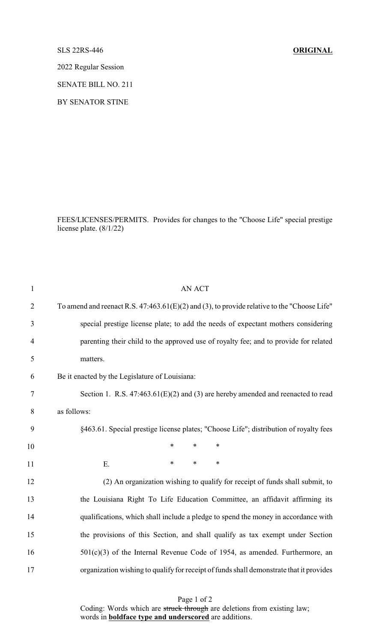## SLS 22RS-446 **ORIGINAL**

2022 Regular Session

SENATE BILL NO. 211

BY SENATOR STINE

FEES/LICENSES/PERMITS. Provides for changes to the "Choose Life" special prestige license plate. (8/1/22)

| $\mathbf{1}$   | <b>AN ACT</b>                                                                                 |
|----------------|-----------------------------------------------------------------------------------------------|
| $\overline{2}$ | To amend and reenact R.S. $47:463.61(E)(2)$ and (3), to provide relative to the "Choose Life" |
| 3              | special prestige license plate; to add the needs of expectant mothers considering             |
| $\overline{4}$ | parenting their child to the approved use of royalty fee; and to provide for related          |
| 5              | matters.                                                                                      |
| 6              | Be it enacted by the Legislature of Louisiana:                                                |
| $\tau$         | Section 1. R.S. $47:463.61(E)(2)$ and (3) are hereby amended and reenacted to read            |
| 8              | as follows:                                                                                   |
| 9              | §463.61. Special prestige license plates; "Choose Life"; distribution of royalty fees         |
| 10             | *<br>$\ast$<br>$\ast$                                                                         |
| 11             | $\ast$<br>$\ast$<br>$\ast$<br>E.                                                              |
| 12             | (2) An organization wishing to qualify for receipt of funds shall submit, to                  |
| 13             | the Louisiana Right To Life Education Committee, an affidavit affirming its                   |
| 14             | qualifications, which shall include a pledge to spend the money in accordance with            |
| 15             | the provisions of this Section, and shall qualify as tax exempt under Section                 |
| 16             | $501(c)(3)$ of the Internal Revenue Code of 1954, as amended. Furthermore, an                 |
| 17             | organization wishing to qualify for receipt of funds shall demonstrate that it provides       |

Page 1 of 2 Coding: Words which are struck through are deletions from existing law; words in **boldface type and underscored** are additions.